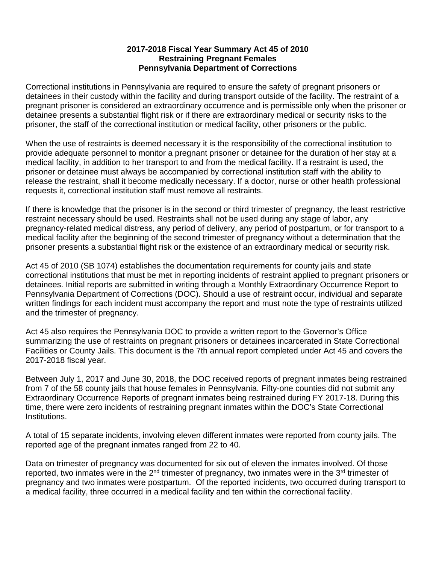## **2017-2018 Fiscal Year Summary Act 45 of 2010 Restraining Pregnant Females Pennsylvania Department of Corrections**

Correctional institutions in Pennsylvania are required to ensure the safety of pregnant prisoners or detainees in their custody within the facility and during transport outside of the facility. The restraint of a pregnant prisoner is considered an extraordinary occurrence and is permissible only when the prisoner or detainee presents a substantial flight risk or if there are extraordinary medical or security risks to the prisoner, the staff of the correctional institution or medical facility, other prisoners or the public.

When the use of restraints is deemed necessary it is the responsibility of the correctional institution to provide adequate personnel to monitor a pregnant prisoner or detainee for the duration of her stay at a medical facility, in addition to her transport to and from the medical facility. If a restraint is used, the prisoner or detainee must always be accompanied by correctional institution staff with the ability to release the restraint, shall it become medically necessary. If a doctor, nurse or other health professional requests it, correctional institution staff must remove all restraints.

If there is knowledge that the prisoner is in the second or third trimester of pregnancy, the least restrictive restraint necessary should be used. Restraints shall not be used during any stage of labor, any pregnancy-related medical distress, any period of delivery, any period of postpartum, or for transport to a medical facility after the beginning of the second trimester of pregnancy without a determination that the prisoner presents a substantial flight risk or the existence of an extraordinary medical or security risk.

Act 45 of 2010 (SB 1074) establishes the documentation requirements for county jails and state correctional institutions that must be met in reporting incidents of restraint applied to pregnant prisoners or detainees. Initial reports are submitted in writing through a Monthly Extraordinary Occurrence Report to Pennsylvania Department of Corrections (DOC). Should a use of restraint occur, individual and separate written findings for each incident must accompany the report and must note the type of restraints utilized and the trimester of pregnancy.

Act 45 also requires the Pennsylvania DOC to provide a written report to the Governor's Office summarizing the use of restraints on pregnant prisoners or detainees incarcerated in State Correctional Facilities or County Jails. This document is the 7th annual report completed under Act 45 and covers the 2017-2018 fiscal year.

Between July 1, 2017 and June 30, 2018, the DOC received reports of pregnant inmates being restrained from 7 of the 58 county jails that house females in Pennsylvania. Fifty-one counties did not submit any Extraordinary Occurrence Reports of pregnant inmates being restrained during FY 2017-18. During this time, there were zero incidents of restraining pregnant inmates within the DOC's State Correctional Institutions.

A total of 15 separate incidents, involving eleven different inmates were reported from county jails. The reported age of the pregnant inmates ranged from 22 to 40.

Data on trimester of pregnancy was documented for six out of eleven the inmates involved. Of those reported, two inmates were in the  $2^{nd}$  trimester of pregnancy, two inmates were in the  $3^{rd}$  trimester of pregnancy and two inmates were postpartum. Of the reported incidents, two occurred during transport to a medical facility, three occurred in a medical facility and ten within the correctional facility.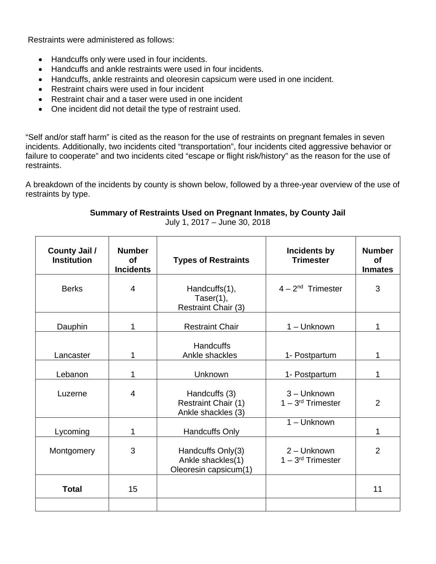Restraints were administered as follows:

- Handcuffs only were used in four incidents.
- Handcuffs and ankle restraints were used in four incidents.
- Handcuffs, ankle restraints and oleoresin capsicum were used in one incident.
- Restraint chairs were used in four incident
- Restraint chair and a taser were used in one incident
- One incident did not detail the type of restraint used.

"Self and/or staff harm" is cited as the reason for the use of restraints on pregnant females in seven incidents. Additionally, two incidents cited "transportation", four incidents cited aggressive behavior or failure to cooperate" and two incidents cited "escape or flight risk/history" as the reason for the use of restraints.

A breakdown of the incidents by county is shown below, followed by a three-year overview of the use of restraints by type.

## **Summary of Restraints Used on Pregnant Inmates, by County Jail**

July 1, 2017 – June 30, 2018

| <b>County Jail /</b><br><b>Institution</b> | <b>Number</b><br><b>of</b><br><b>Incidents</b> | <b>Types of Restraints</b>                                      | Incidents by<br><b>Trimester</b>   | <b>Number</b><br><b>of</b><br><b>Inmates</b> |  |  |
|--------------------------------------------|------------------------------------------------|-----------------------------------------------------------------|------------------------------------|----------------------------------------------|--|--|
| <b>Berks</b>                               | $\overline{4}$                                 | Handcuffs(1),<br>Taser $(1)$ ,<br>Restraint Chair (3)           | $4 - 2nd$ Trimester                | 3                                            |  |  |
| Dauphin                                    | 1                                              | <b>Restraint Chair</b>                                          | 1 - Unknown                        | 1                                            |  |  |
| Lancaster                                  | 1                                              | <b>Handcuffs</b><br>Ankle shackles                              | 1- Postpartum                      | 1                                            |  |  |
| Lebanon                                    | 1                                              | Unknown                                                         | 1- Postpartum                      | 1                                            |  |  |
| Luzerne                                    | $\overline{4}$                                 | Handcuffs (3)<br>Restraint Chair (1)<br>Ankle shackles (3)      | 3-Unknown<br>$1 - 3rd$ Trimester   | 2                                            |  |  |
| Lycoming                                   | 1                                              | Handcuffs Only                                                  | 1 - Unknown                        | 1                                            |  |  |
| Montgomery                                 | 3                                              | Handcuffs Only(3)<br>Ankle shackles(1)<br>Oleoresin capsicum(1) | 2 - Unknown<br>$1 - 3rd$ Trimester | $\overline{2}$                               |  |  |
| <b>Total</b>                               | 15                                             |                                                                 |                                    | 11                                           |  |  |
|                                            |                                                |                                                                 |                                    |                                              |  |  |